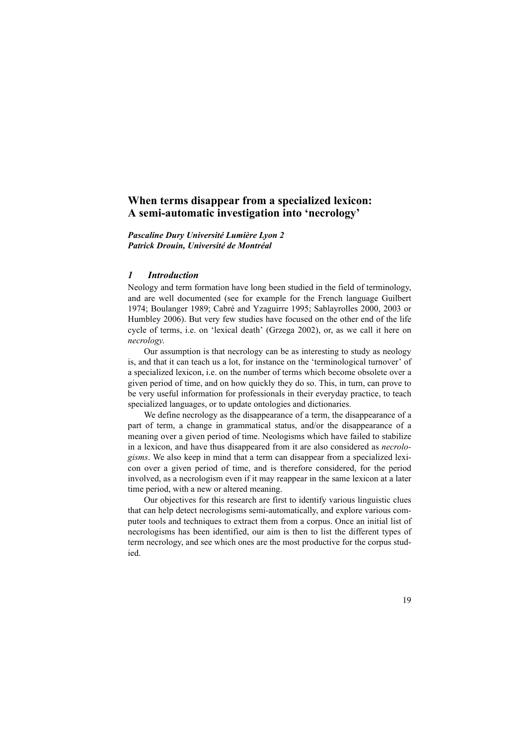*Pascaline Dury Université Lumière Lyon 2 Patrick Drouin, Université de Montréal*

## *1 Introduction*

Neology and term formation have long been studied in the field of terminology, and are well documented (see for example for the French language Guilbert 1974; Boulanger 1989; Cabré and Yzaguirre 1995; Sablayrolles 2000, 2003 or Humbley 2006). But very few studies have focused on the other end of the life cycle of terms, i.e. on 'lexical death' (Grzega 2002), or, as we call it here on *necrology*.

Our assumption is that necrology can be as interesting to study as neology is, and that it can teach us a lot, for instance on the 'terminological turnover' of a specialized lexicon, i.e. on the number of terms which become obsolete over a given period of time, and on how quickly they do so. This, in turn, can prove to be very useful information for professionals in their everyday practice, to teach specialized languages, or to update ontologies and dictionaries.

We define necrology as the disappearance of a term, the disappearance of a part of term, a change in grammatical status, and/or the disappearance of a meaning over a given period of time. Neologisms which have failed to stabilize in a lexicon, and have thus disappeared from it are also considered as *necrologisms*. We also keep in mind that a term can disappear from a specialized lexicon over a given period of time, and is therefore considered, for the period involved, as a necrologism even if it may reappear in the same lexicon at a later time period, with a new or altered meaning.

Our objectives for this research are first to identify various linguistic clues that can help detect necrologisms semi-automatically, and explore various computer tools and techniques to extract them from a corpus. Once an initial list of necrologisms has been identified, our aim is then to list the different types of term necrology, and see which ones are the most productive for the corpus studied.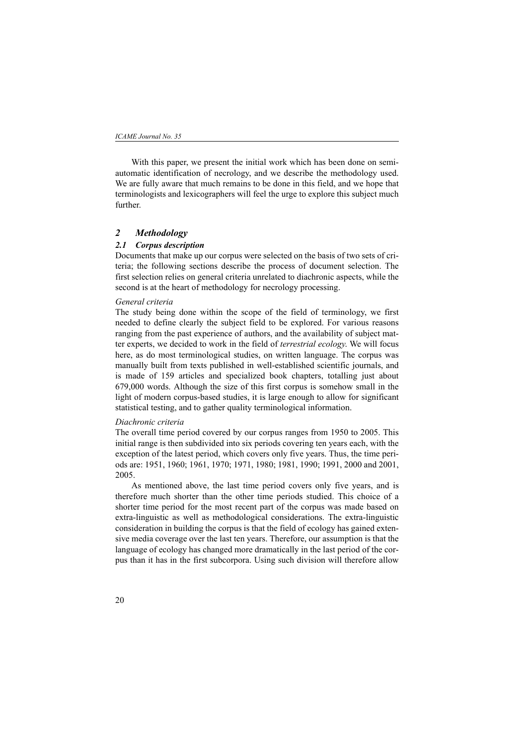With this paper, we present the initial work which has been done on semiautomatic identification of necrology, and we describe the methodology used. We are fully aware that much remains to be done in this field, and we hope that terminologists and lexicographers will feel the urge to explore this subject much further.

# *2 Methodology*

#### *2.1 Corpus description*

Documents that make up our corpus were selected on the basis of two sets of criteria; the following sections describe the process of document selection. The first selection relies on general criteria unrelated to diachronic aspects, while the second is at the heart of methodology for necrology processing.

#### *General criteria*

The study being done within the scope of the field of terminology, we first needed to define clearly the subject field to be explored. For various reasons ranging from the past experience of authors, and the availability of subject matter experts, we decided to work in the field of *terrestrial ecology*. We will focus here, as do most terminological studies, on written language. The corpus was manually built from texts published in well-established scientific journals, and is made of 159 articles and specialized book chapters, totalling just about 679,000 words. Although the size of this first corpus is somehow small in the light of modern corpus-based studies, it is large enough to allow for significant statistical testing, and to gather quality terminological information.

#### *Diachronic criteria*

The overall time period covered by our corpus ranges from 1950 to 2005. This initial range is then subdivided into six periods covering ten years each, with the exception of the latest period, which covers only five years. Thus, the time periods are: 1951, 1960; 1961, 1970; 1971, 1980; 1981, 1990; 1991, 2000 and 2001, 2005.

As mentioned above, the last time period covers only five years, and is therefore much shorter than the other time periods studied. This choice of a shorter time period for the most recent part of the corpus was made based on extra-linguistic as well as methodological considerations. The extra-linguistic consideration in building the corpus is that the field of ecology has gained extensive media coverage over the last ten years. Therefore, our assumption is that the language of ecology has changed more dramatically in the last period of the corpus than it has in the first subcorpora. Using such division will therefore allow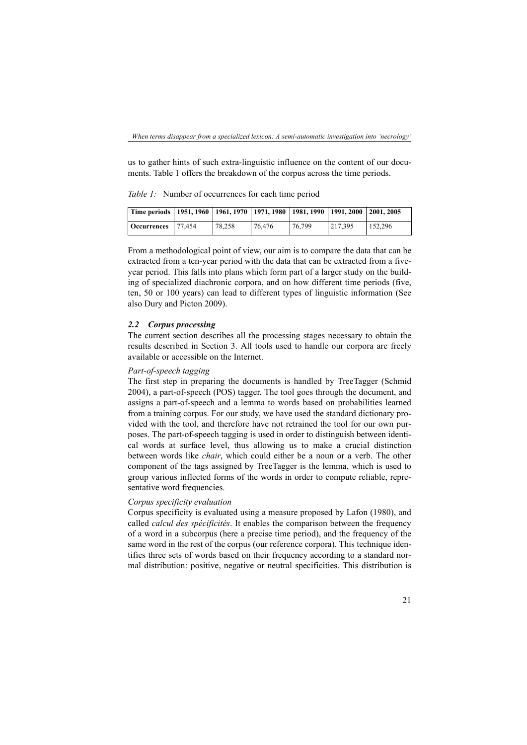us to gather hints of such extra-linguistic influence on the content of our documents. Table 1 offers the breakdown of the corpus across the time periods.

*Table 1:* Number of occurrences for each time period

| Time periods   1951, 1960   1961, 1970   1971, 1980   1981, 1990   1991, 2000   2001, 2005 |        |        |        |         |         |
|--------------------------------------------------------------------------------------------|--------|--------|--------|---------|---------|
| <b>Occurrences</b> 77,454                                                                  | 78.258 | 76.476 | 76.799 | 217.395 | 152.296 |

From a methodological point of view, our aim is to compare the data that can be extracted from a ten-year period with the data that can be extracted from a fiveyear period. This falls into plans which form part of a larger study on the building of specialized diachronic corpora, and on how different time periods (five, ten, 50 or 100 years) can lead to different types of linguistic information (See also Dury and Picton 2009).

#### *2.2 Corpus processing*

The current section describes all the processing stages necessary to obtain the results described in Section 3. All tools used to handle our corpora are freely available or accessible on the Internet.

#### *Part-of-speech tagging*

The first step in preparing the documents is handled by TreeTagger (Schmid 2004), a part-of-speech (POS) tagger. The tool goes through the document, and assigns a part-of-speech and a lemma to words based on probabilities learned from a training corpus. For our study, we have used the standard dictionary provided with the tool, and therefore have not retrained the tool for our own purposes. The part-of-speech tagging is used in order to distinguish between identical words at surface level, thus allowing us to make a crucial distinction between words like *chair*, which could either be a noun or a verb. The other component of the tags assigned by TreeTagger is the lemma, which is used to group various inflected forms of the words in order to compute reliable, representative word frequencies.

# *Corpus specificity evaluation*

Corpus specificity is evaluated using a measure proposed by Lafon (1980), and called *calcul des spécificités*. It enables the comparison between the frequency of a word in a subcorpus (here a precise time period), and the frequency of the same word in the rest of the corpus (our reference corpora). This technique identifies three sets of words based on their frequency according to a standard normal distribution: positive, negative or neutral specificities. This distribution is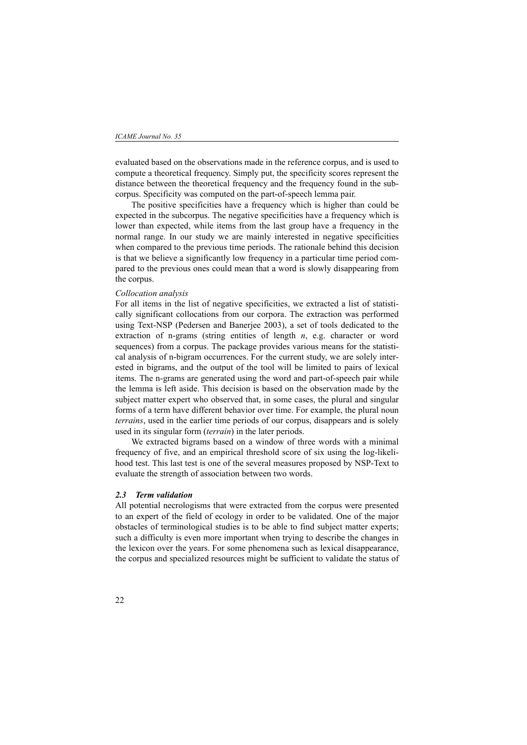evaluated based on the observations made in the reference corpus, and is used to compute a theoretical frequency. Simply put, the specificity scores represent the distance between the theoretical frequency and the frequency found in the subcorpus. Specificity was computed on the part-of-speech lemma pair.

The positive specificities have a frequency which is higher than could be expected in the subcorpus. The negative specificities have a frequency which is lower than expected, while items from the last group have a frequency in the normal range. In our study we are mainly interested in negative specificities when compared to the previous time periods. The rationale behind this decision is that we believe a significantly low frequency in a particular time period compared to the previous ones could mean that a word is slowly disappearing from the corpus.

# *Collocation analysis*

For all items in the list of negative specificities, we extracted a list of statistically significant collocations from our corpora. The extraction was performed using Text-NSP (Pedersen and Banerjee 2003), a set of tools dedicated to the extraction of n-grams (string entities of length *n*, e.g. character or word sequences) from a corpus. The package provides various means for the statistical analysis of n-bigram occurrences. For the current study, we are solely interested in bigrams, and the output of the tool will be limited to pairs of lexical items. The n-grams are generated using the word and part-of-speech pair while the lemma is left aside. This decision is based on the observation made by the subject matter expert who observed that, in some cases, the plural and singular forms of a term have different behavior over time. For example, the plural noun *terrains*, used in the earlier time periods of our corpus, disappears and is solely used in its singular form (*terrain*) in the later periods.

We extracted bigrams based on a window of three words with a minimal frequency of five, and an empirical threshold score of six using the log-likelihood test. This last test is one of the several measures proposed by NSP-Text to evaluate the strength of association between two words.

#### *2.3 Term validation*

All potential necrologisms that were extracted from the corpus were presented to an expert of the field of ecology in order to be validated. One of the major obstacles of terminological studies is to be able to find subject matter experts; such a difficulty is even more important when trying to describe the changes in the lexicon over the years. For some phenomena such as lexical disappearance, the corpus and specialized resources might be sufficient to validate the status of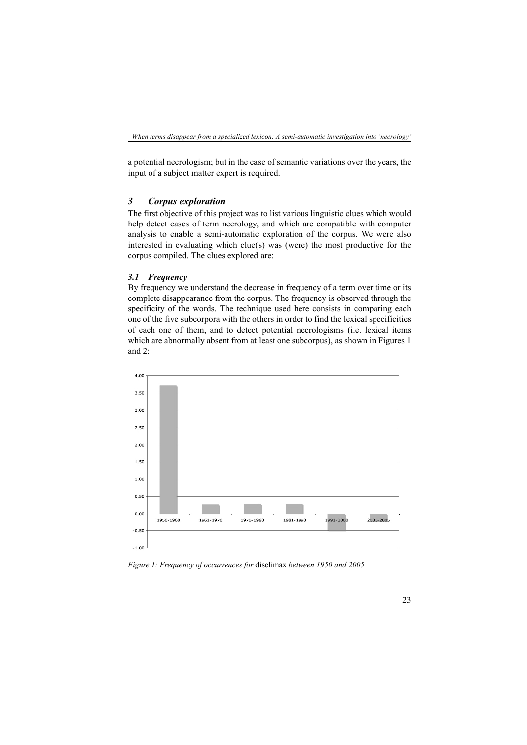a potential necrologism; but in the case of semantic variations over the years, the input of a subject matter expert is required.

# *3 Corpus exploration*

The first objective of this project was to list various linguistic clues which would help detect cases of term necrology, and which are compatible with computer analysis to enable a semi-automatic exploration of the corpus. We were also interested in evaluating which clue(s) was (were) the most productive for the corpus compiled. The clues explored are:

# *3.1 Frequency*

By frequency we understand the decrease in frequency of a term over time or its complete disappearance from the corpus. The frequency is observed through the specificity of the words. The technique used here consists in comparing each one of the five subcorpora with the others in order to find the lexical specificities of each one of them, and to detect potential necrologisms (i.e. lexical items which are abnormally absent from at least one subcorpus), as shown in Figures 1 and 2:



*Figure 1: Frequency of occurrences for* disclimax *between 1950 and 2005*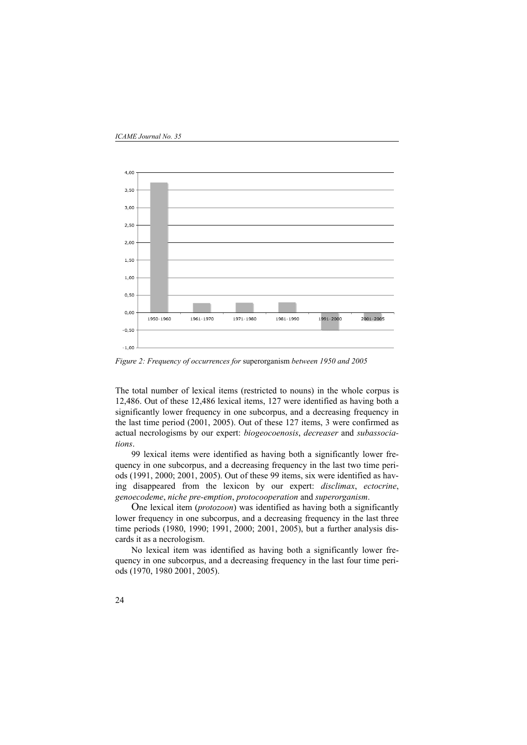

*Figure 2: Frequency of occurrences for* superorganism *between 1950 and 2005*

The total number of lexical items (restricted to nouns) in the whole corpus is 12,486. Out of these 12,486 lexical items, 127 were identified as having both a significantly lower frequency in one subcorpus, and a decreasing frequency in the last time period (2001, 2005). Out of these 127 items, 3 were confirmed as actual necrologisms by our expert: *biogeocoenosis*, *decreaser* and *subassociations*.

99 lexical items were identified as having both a significantly lower frequency in one subcorpus, and a decreasing frequency in the last two time periods (1991, 2000; 2001, 2005). Out of these 99 items, six were identified as having disappeared from the lexicon by our expert: *disclimax*, *ectocrine*, *genoecodeme*, *niche pre-emption*, *protocooperation* and *superorganism*.

One lexical item (*protozoon*) was identified as having both a significantly lower frequency in one subcorpus, and a decreasing frequency in the last three time periods (1980, 1990; 1991, 2000; 2001, 2005), but a further analysis discards it as a necrologism.

No lexical item was identified as having both a significantly lower frequency in one subcorpus, and a decreasing frequency in the last four time periods (1970, 1980 2001, 2005).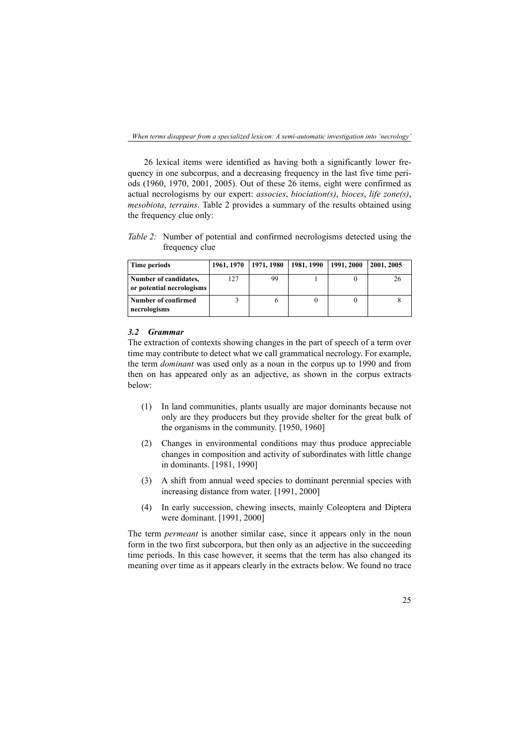26 lexical items were identified as having both a significantly lower frequency in one subcorpus, and a decreasing frequency in the last five time periods (1960, 1970, 2001, 2005). Out of these 26 items, eight were confirmed as actual necrologisms by our expert: *associes*, *biociation(s)*, *bioces*, *life zone(s)*, *mesobiota*, *terrains*. Table 2 provides a summary of the results obtained using the frequency clue only:

*Table 2:* Number of potential and confirmed necrologisms detected using the frequency clue

| Time periods                                       |     | 1961, 1970   1971, 1980   1981, 1990   1991, 2000 |  | 2001, 2005 |
|----------------------------------------------------|-----|---------------------------------------------------|--|------------|
| Number of candidates,<br>or potential necrologisms | 127 | 99                                                |  |            |
| Number of confirmed<br>necrologisms                |     |                                                   |  |            |

#### *3.2 Grammar*

The extraction of contexts showing changes in the part of speech of a term over time may contribute to detect what we call grammatical necrology. For example, the term *dominant* was used only as a noun in the corpus up to 1990 and from then on has appeared only as an adjective, as shown in the corpus extracts below:

- (1) In land communities, plants usually are major dominants because not only are they producers but they provide shelter for the great bulk of the organisms in the community. [1950, 1960]
- (2) Changes in environmental conditions may thus produce appreciable changes in composition and activity of subordinates with little change in dominants. [1981, 1990]
- (3) A shift from annual weed species to dominant perennial species with increasing distance from water. [1991, 2000]
- (4) In early succession, chewing insects, mainly Coleoptera and Diptera were dominant. [1991, 2000]

The term *permeant* is another similar case, since it appears only in the noun form in the two first subcorpora, but then only as an adjective in the succeeding time periods. In this case however, it seems that the term has also changed its meaning over time as it appears clearly in the extracts below. We found no trace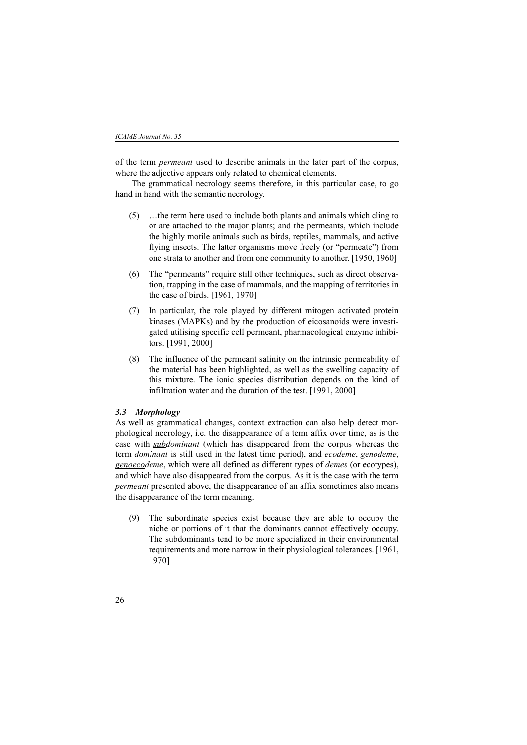of the term *permeant* used to describe animals in the later part of the corpus, where the adjective appears only related to chemical elements.

The grammatical necrology seems therefore, in this particular case, to go hand in hand with the semantic necrology.

- (5) …the term here used to include both plants and animals which cling to or are attached to the major plants; and the permeants, which include the highly motile animals such as birds, reptiles, mammals, and active flying insects. The latter organisms move freely (or "permeate") from one strata to another and from one community to another. [1950, 1960]
- (6) The "permeants" require still other techniques, such as direct observation, trapping in the case of mammals, and the mapping of territories in the case of birds. [1961, 1970]
- (7) In particular, the role played by different mitogen activated protein kinases (MAPKs) and by the production of eicosanoids were investigated utilising specific cell permeant, pharmacological enzyme inhibitors. [1991, 2000]
- (8) The influence of the permeant salinity on the intrinsic permeability of the material has been highlighted, as well as the swelling capacity of this mixture. The ionic species distribution depends on the kind of infiltration water and the duration of the test. [1991, 2000]

#### *3.3 Morphology*

As well as grammatical changes, context extraction can also help detect morphological necrology, i.e. the disappearance of a term affix over time, as is the case with *subdominant* (which has disappeared from the corpus whereas the term *dominant* is still used in the latest time period), and *ecodeme*, *genodeme*, *genoecodeme*, which were all defined as different types of *demes* (or ecotypes), and which have also disappeared from the corpus. As it is the case with the term *permeant* presented above, the disappearance of an affix sometimes also means the disappearance of the term meaning.

(9) The subordinate species exist because they are able to occupy the niche or portions of it that the dominants cannot effectively occupy. The subdominants tend to be more specialized in their environmental requirements and more narrow in their physiological tolerances. [1961, 1970]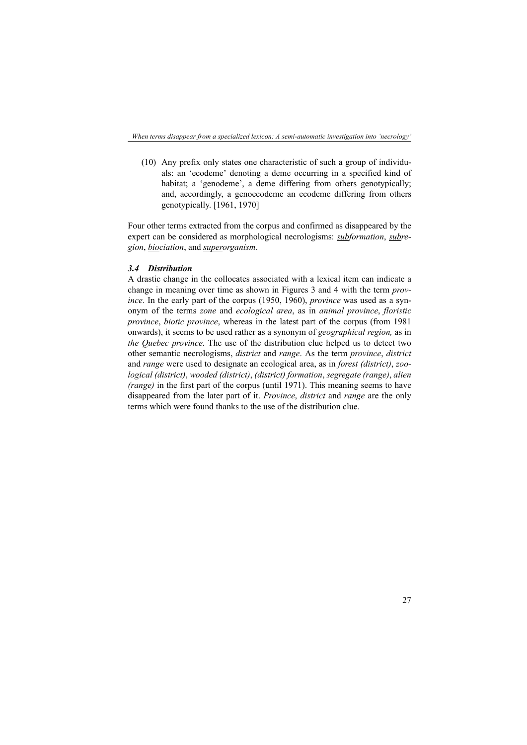(10) Any prefix only states one characteristic of such a group of individuals: an 'ecodeme' denoting a deme occurring in a specified kind of habitat; a 'genodeme', a deme differing from others genotypically; and, accordingly, a genoecodeme an ecodeme differing from others genotypically. [1961, 1970]

Four other terms extracted from the corpus and confirmed as disappeared by the expert can be considered as morphological necrologisms: *subformation*, *subregion*, *biociation*, and *superorganism*.

# *3.4 Distribution*

A drastic change in the collocates associated with a lexical item can indicate a change in meaning over time as shown in Figures 3 and 4 with the term *province*. In the early part of the corpus (1950, 1960), *province* was used as a synonym of the terms *zone* and *ecological area*, as in *animal province*, *floristic province*, *biotic province*, whereas in the latest part of the corpus (from 1981 onwards), it seems to be used rather as a synonym of *geographical region,* as in *the Quebec province*. The use of the distribution clue helped us to detect two other semantic necrologisms, *district* and *range*. As the term *province*, *district* and *range* were used to designate an ecological area, as in *forest (district)*, *zoological (district)*, *wooded (district)*, *(district) formation*, *segregate (range)*, *alien (range)* in the first part of the corpus (until 1971). This meaning seems to have disappeared from the later part of it. *Province*, *district* and *range* are the only terms which were found thanks to the use of the distribution clue.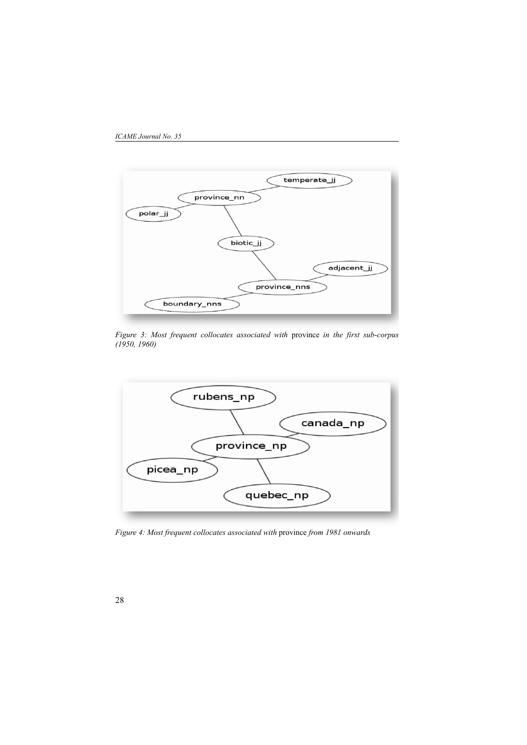



*Figure 3: Most frequent collocates associated with* province *in the first sub-corpus (1950, 1960)*



*Figure 4: Most frequent collocates associated with* province *from 1981 onwards*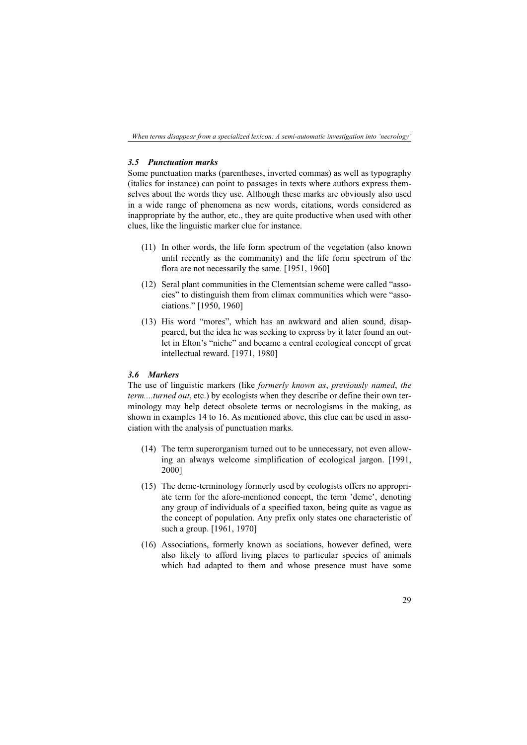# *3.5 Punctuation marks*

Some punctuation marks (parentheses, inverted commas) as well as typography (italics for instance) can point to passages in texts where authors express themselves about the words they use. Although these marks are obviously also used in a wide range of phenomena as new words, citations, words considered as inappropriate by the author, etc., they are quite productive when used with other clues, like the linguistic marker clue for instance.

- (11) In other words, the life form spectrum of the vegetation (also known until recently as the community) and the life form spectrum of the flora are not necessarily the same. [1951, 1960]
- (12) Seral plant communities in the Clementsian scheme were called "associes" to distinguish them from climax communities which were "associations." [1950, 1960]
- (13) His word "mores", which has an awkward and alien sound, disappeared, but the idea he was seeking to express by it later found an outlet in Elton's "niche" and became a central ecological concept of great intellectual reward. [1971, 1980]

# *3.6 Markers*

The use of linguistic markers (like *formerly known as*, *previously named*, *the term....turned out*, etc.) by ecologists when they describe or define their own terminology may help detect obsolete terms or necrologisms in the making, as shown in examples 14 to 16. As mentioned above, this clue can be used in association with the analysis of punctuation marks.

- (14) The term superorganism turned out to be unnecessary, not even allowing an always welcome simplification of ecological jargon. [1991, 2000]
- (15) The deme-terminology formerly used by ecologists offers no appropriate term for the afore-mentioned concept, the term 'deme', denoting any group of individuals of a specified taxon, being quite as vague as the concept of population. Any prefix only states one characteristic of such a group. [1961, 1970]
- (16) Associations, formerly known as sociations, however defined, were also likely to afford living places to particular species of animals which had adapted to them and whose presence must have some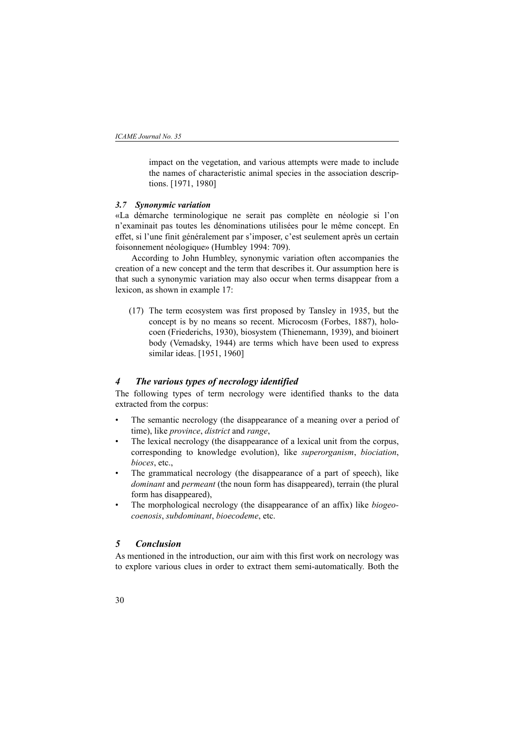impact on the vegetation, and various attempts were made to include the names of characteristic animal species in the association descriptions. [1971, 1980]

#### *3.7 Synonymic variation*

«La démarche terminologique ne serait pas complète en néologie si l'on n'examinait pas toutes les dénominations utilisées pour le même concept. En effet, si l'une finit généralement par s'imposer, c'est seulement après un certain foisonnement néologique» (Humbley 1994: 709).

According to John Humbley, synonymic variation often accompanies the creation of a new concept and the term that describes it. Our assumption here is that such a synonymic variation may also occur when terms disappear from a lexicon, as shown in example 17:

(17) The term ecosystem was first proposed by Tansley in 1935, but the concept is by no means so recent. Microcosm (Forbes, 1887), holocoen (Friederichs, 1930), biosystem (Thienemann, 1939), and bioinert body (Vemadsky, 1944) are terms which have been used to express similar ideas. [1951, 1960]

# *4 The various types of necrology identified*

The following types of term necrology were identified thanks to the data extracted from the corpus:

- The semantic necrology (the disappearance of a meaning over a period of time), like *province*, *district* and *range*,
- The lexical necrology (the disappearance of a lexical unit from the corpus, corresponding to knowledge evolution), like *superorganism*, *biociation*, *bioces*, etc.,
- The grammatical necrology (the disappearance of a part of speech), like *dominant* and *permeant* (the noun form has disappeared), terrain (the plural form has disappeared),
- The morphological necrology (the disappearance of an affix) like *biogeocoenosis*, *subdominant*, *bioecodeme*, etc.

# *5 Conclusion*

As mentioned in the introduction, our aim with this first work on necrology was to explore various clues in order to extract them semi-automatically. Both the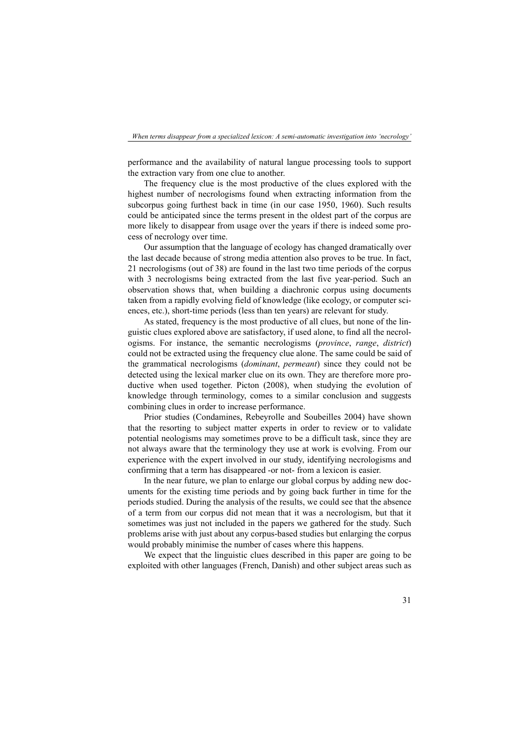performance and the availability of natural langue processing tools to support the extraction vary from one clue to another.

The frequency clue is the most productive of the clues explored with the highest number of necrologisms found when extracting information from the subcorpus going furthest back in time (in our case 1950, 1960). Such results could be anticipated since the terms present in the oldest part of the corpus are more likely to disappear from usage over the years if there is indeed some process of necrology over time.

Our assumption that the language of ecology has changed dramatically over the last decade because of strong media attention also proves to be true. In fact, 21 necrologisms (out of 38) are found in the last two time periods of the corpus with 3 necrologisms being extracted from the last five year-period. Such an observation shows that, when building a diachronic corpus using documents taken from a rapidly evolving field of knowledge (like ecology, or computer sciences, etc.), short-time periods (less than ten years) are relevant for study.

As stated, frequency is the most productive of all clues, but none of the linguistic clues explored above are satisfactory, if used alone, to find all the necrologisms. For instance, the semantic necrologisms (*province*, *range*, *district*) could not be extracted using the frequency clue alone. The same could be said of the grammatical necrologisms (*dominant*, *permeant*) since they could not be detected using the lexical marker clue on its own. They are therefore more productive when used together. Picton (2008), when studying the evolution of knowledge through terminology, comes to a similar conclusion and suggests combining clues in order to increase performance.

Prior studies (Condamines, Rebeyrolle and Soubeilles 2004) have shown that the resorting to subject matter experts in order to review or to validate potential neologisms may sometimes prove to be a difficult task, since they are not always aware that the terminology they use at work is evolving. From our experience with the expert involved in our study, identifying necrologisms and confirming that a term has disappeared -or not- from a lexicon is easier.

In the near future, we plan to enlarge our global corpus by adding new documents for the existing time periods and by going back further in time for the periods studied. During the analysis of the results, we could see that the absence of a term from our corpus did not mean that it was a necrologism, but that it sometimes was just not included in the papers we gathered for the study. Such problems arise with just about any corpus-based studies but enlarging the corpus would probably minimise the number of cases where this happens.

We expect that the linguistic clues described in this paper are going to be exploited with other languages (French, Danish) and other subject areas such as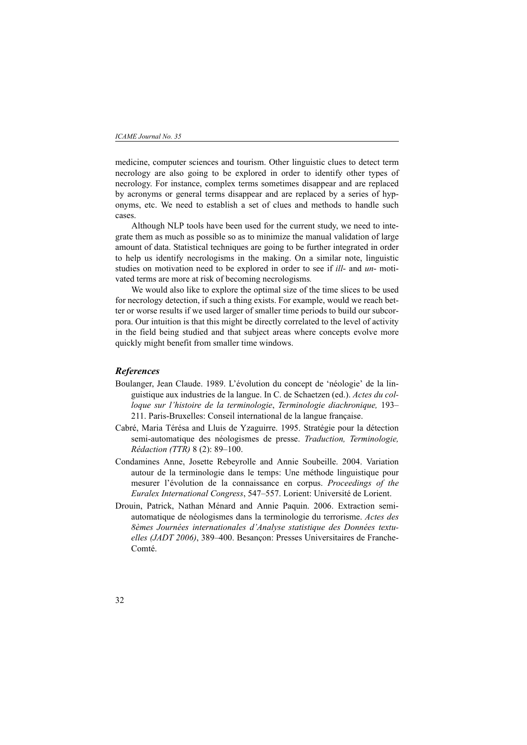medicine, computer sciences and tourism. Other linguistic clues to detect term necrology are also going to be explored in order to identify other types of necrology. For instance, complex terms sometimes disappear and are replaced by acronyms or general terms disappear and are replaced by a series of hyponyms, etc. We need to establish a set of clues and methods to handle such cases.

Although NLP tools have been used for the current study, we need to integrate them as much as possible so as to minimize the manual validation of large amount of data. Statistical techniques are going to be further integrated in order to help us identify necrologisms in the making. On a similar note, linguistic studies on motivation need to be explored in order to see if *ill*- and *un*- motivated terms are more at risk of becoming necrologisms*.*

We would also like to explore the optimal size of the time slices to be used for necrology detection, if such a thing exists. For example, would we reach better or worse results if we used larger of smaller time periods to build our subcorpora. Our intuition is that this might be directly correlated to the level of activity in the field being studied and that subject areas where concepts evolve more quickly might benefit from smaller time windows.

# *References*

- Boulanger, Jean Claude. 1989. L'évolution du concept de 'néologie' de la linguistique aux industries de la langue. In C. de Schaetzen (ed.). *Actes du colloque sur l'histoire de la terminologie*, *Terminologie diachronique,* 193– 211. Paris-Bruxelles: Conseil international de la langue française.
- Cabré, Maria Térésa and Lluis de Yzaguirre. 1995. Stratégie pour la détection semi-automatique des néologismes de presse. *Traduction, Terminologie, Rédaction (TTR)* 8 (2): 89–100.
- Condamines Anne, Josette Rebeyrolle and Annie Soubeille. 2004. Variation autour de la terminologie dans le temps: Une méthode linguistique pour mesurer l'évolution de la connaissance en corpus. *Proceedings of the Euralex International Congress*, 547–557. Lorient: Université de Lorient.
- Drouin, Patrick, Nathan Ménard and Annie Paquin. 2006. Extraction semiautomatique de néologismes dans la terminologie du terrorisme. *Actes des 8èmes Journées internationales d'Analyse statistique des Données textuelles (JADT 2006)*, 389–400. Besançon: Presses Universitaires de Franche-Comté.